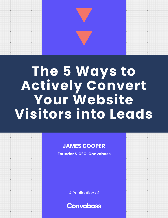# **The 5 Ways to Actively Convert Your Website Visitors into Leads**

 $\sum_{i=1}^{n}$ 

 $\sum$ 

 $\begin{array}{cccccccccc} \ast & \ast & \ast & \ast & \ast & \ast \end{array}$ 

 $\left\langle \cdot \right\rangle$  ,  $\left\langle \cdot \right\rangle$  ,  $\left\langle \cdot \right\rangle$ 

 $\mathcal{A}^{\mathcal{A}}$  , and  $\mathcal{A}^{\mathcal{A}}$  , and  $\mathcal{A}^{\mathcal{A}}$ 

 $\begin{array}{ccccccccccccc} \ast & \cdot & \cdot & \cdot & \cdot & \cdot & \cdot & \ast \end{array}$ 

 $\label{eq:3.1} \begin{array}{cccccccccc} \ast & \ast & \ast & \ast & \ast \end{array}$ 

 $\begin{array}{ccccccccccccc} \cdot & \cdot & \cdot & \cdot & \cdot & \cdot & \cdot \end{array}$ 

 $\begin{array}{ccccccccccccc} \cdot & \cdot & \cdot & \cdot & \cdot & \cdot & \cdot & \cdot \end{array}$ 

 $\mathcal{A}^{\mathcal{A}}$  , and  $\mathcal{A}^{\mathcal{A}}$ 

 $\mathcal{L}(\mathcal{A})$  . The set of  $\mathcal{A}(\mathcal{A})$ 

 $\ddot{\phantom{a}}$ 

 $\cdot$   $\cdot$   $\cdot$   $\cdot$   $\cdot$ 

 $\ddot{\phantom{a}}$ 

 $\ddot{\phantom{a}}$ 

 $\begin{array}{cccccccccccccc} \ast & \ast & \ast & \ast & \ast \end{array}$ 

 $\label{eq:3.1} \begin{array}{cccccccccc} \mathbb{E} & \mathbb{E} & \mathbb{E} & \mathbb{E} & \mathbb{E} & \mathbb{E} & \mathbb{E} & \mathbb{E} & \mathbb{E} & \mathbb{E} & \mathbb{E} & \mathbb{E} & \mathbb{E} & \mathbb{E} & \mathbb{E} & \mathbb{E} & \mathbb{E} & \mathbb{E} & \mathbb{E} & \mathbb{E} & \mathbb{E} & \mathbb{E} & \mathbb{E} & \mathbb{E} & \mathbb{E} & \mathbb{E} & \mathbb{E} & \mathbb{E} & \mathbb{E}$ 

 $\mathcal{L}(\mathcal{L}(\mathcal{L}(\mathcal{L}(\mathcal{L}(\mathcal{L}(\mathcal{L}(\mathcal{L}(\mathcal{L}(\mathcal{L}(\mathcal{L}(\mathcal{L}(\mathcal{L}(\mathcal{L}(\mathcal{L}(\mathcal{L}(\mathcal{L}(\mathcal{L}(\mathcal{L}(\mathcal{L}(\mathcal{L}(\mathcal{L}(\mathcal{L}(\mathcal{L}(\mathcal{L}(\mathcal{L}(\mathcal{L}(\mathcal{L}(\mathcal{L}(\mathcal{L}(\mathcal{L}(\mathcal{L}(\mathcal{L}(\mathcal{L}(\mathcal{L}(\mathcal{L}(\mathcal{$ 

 $\begin{array}{cccccccccccccc} \ast & \ast & \ast & \ast & \ast & \ast \end{array}$ 

 $\ddot{\phantom{a}}$ 

#### **JAMES COOPER**

**Founder & CEO, Convoboss**

A Publication of

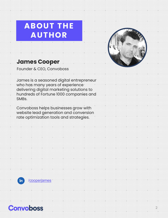### **ABOUT THE AUTHOR**



#### **James Cooper**

Founder & CEO, Convoboss

James is a seasoned digital entrepreneur who has many years of experience<sup>-</sup> delivering digital marketing solutions to hundreds of Fortune 1000 companies and SMBs.

Convoboss helps businesses grow with website lead generation and conversion rate optimization tools and strategies.



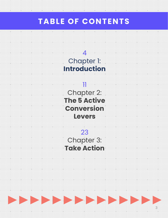### **TABLE OF CONTENTS**

 $\overline{\phantom{a}}$  +

 $\pm$ 

 $\ddot{\phantom{0}}$ 

 $\overline{\phantom{a}}$  .

 $^{\rm +}$ 

 $\ddot{\phantom{0}}$ 



11 Chapter 2: **The 5 Active Conversion Levers**

23 Chapter 3: **Take Action**

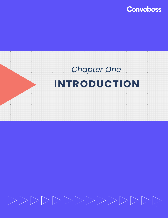

# **TINTRODUCTION** *Chapter One*

SHALL GO HERE

 $\ddot{\phantom{0}}$ 

## $|>\rangle$  > > > >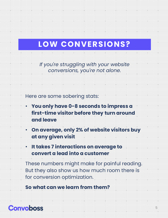### **LOW CONVERSIONS?**

*If you're struggling with your website conversions, you're not alone.*

Here are some sobering stats:

- **You only have 0-8 seconds to impress a first-time visitor before they turn around and leave**
- **On average, only 2% of website visitors buy at any given visit**
- **It takes 7 interactions on average to convert a lead into a customer**

These numbers might make for painful reading. But they also show us how much room there is for conversion optimization.

**So what can we learn from them?**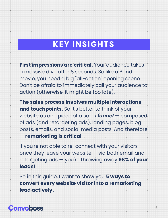### **KEY INSIGHTS**

**First impressions are critical.** Your audience takes a massive dive after 8 seconds. So like a Bond movie, you need a big "all-action" opening scene. Don't be afraid to immediately call your audience to action (otherwise, it might be too late).

**The sales process involves multiple interactions and touchpoints.** So it's better to think of your website as one piece of a sales *funnel* — composed of ads (and retargeting ads), landing pages, blog posts, emails, and social media posts. And therefore — **remarketing is critical**.

If you're not able to re-connect with your visitors once they leave your website — via both email and retargeting ads — you're throwing away **98% of your leads!**

So in this guide, I want to show you **5 ways to convert every website visitor into a remarketing lead actively.**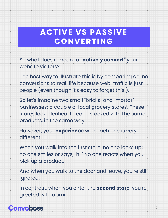### **ACTIVE VS PASSIVE CONVERTING**

So what does it mean to **"actively convert"** your website visitors?

The best way to illustrate this is by comparing online conversions to real-life because web-traffic is just people (even though it's easy to forget this!).

So let's imagine two small "bricks-and-mortar" businesses; a couple of local grocery stores…These stores look identical to each stocked with the same products, in the same way.

However, your **experience** with each one is very different.

When you walk into the first store, no one looks up; no one smiles or says, "hi." No one reacts when you pick up a product.

And when you walk to the door and leave, you're still ignored.

In contrast, when you enter the **second store**, you're greeted with a smile.

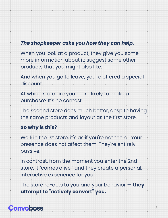#### *The shopkeeper asks you how they can help.*

When you look at a product, they give you some more information about it; suggest some other products that you might also like.

And when you go to leave, you're offered a special discount.

At which store are you more likely to make a purchase? It's no contest.

The second store does much better, despite having the same products and layout as the first store.

#### **So why is this?**

Well, in the 1st store, it's as if you're not there. Your presence does not affect them. They're entirely passive.

In contrast, from the moment you enter the 2nd store, it "comes alive," and they create a personal, interactive experience for you.

The store re-acts to you and your behavior — **they attempt to "actively convert" you.**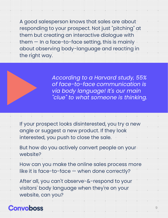A good salesperson knows that sales are about responding to your prospect. Not just "pitching" at them but creating an interactive dialogue with them — In a face-to-face setting, this is mainly about observing body-language and reacting in the right way.

> *According to a Harvard study, 55% of face-to-face communication is via body language! It's our main "clue" to what someone is thinking.*

If your prospect looks disinterested, you try a new angle or suggest a new product. If they look interested, you push to close the sale.

But how do you actively convert people on your website?

How can you make the online sales process more like it is face-to-face — when done correctly?

After all, you can't observe-&-respond to your visitors' body language when they're on your website, can you?

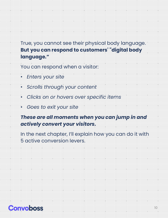#### True, you cannot see their physical body language. **But you can respond to customers' "digital body language."**

You can respond when a visitor:

- *Enters your site*
- *Scrolls through your content*
- *Clicks on or hovers over specific items*
- *Goes to exit your site*

#### *These are all moments when you can jump in and actively convert your visitors.*

In the next chapter, I'll explain how you can do it with 5 active conversion levers.

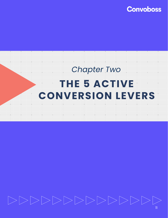

### THE 5 ACTIVE THE CHAPTER OF THE CHAPTER OF THE CHAPTER OF THE CHAPTER OF THE CHAPTER OF THE CHAPTER OF THE CHAPTER OF THE CHAPTER OF THE CHAPTER OF THE CHAPTER OF THE CHAPTER OF THE CHAPTER OF THE CHAPTER OF THE CHAPTER OF SHALL GO HERE *Chapter Two* **THE 5 ACTIVE CONVERSION LEVERS**

# $>>>>>>>>>>>>\>>$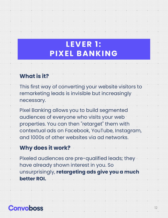### **LEVER 1: PIXEL BANKING**

#### **What is it?**

This first way of converting your website visitors to remarketing leads is invisible but increasingly necessary.

Pixel Banking allows you to build segmented audiences of everyone who visits your web properties. You can then "retarget" them with contextual ads on Facebook, YouTube, Instagram, and 1000s of other websites via ad networks.

#### **Why does it work?**

Pixeled audiences are pre-qualified leads; they have already shown interest in you. So unsurprisingly, **retargeting ads give you a much better ROI.**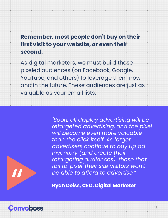#### **Remember, most people don't buy on their first visit to your website, or even their second.**

As digital marketers, we must build these pixeled audiences (on Facebook, Google, YouTube, and others) to leverage them now and in the future. These audiences are just as valuable as your email lists.



*"Soon, all display advertising will be* 

**Ryan Deiss, CEO, Digital Marketer**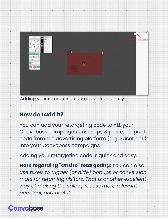

Adding your retargeting code is quick and easy.

#### **How do I add it?**

You can add your retargeting code to ALL your Convoboss campaigns. Just copy & paste the pixel code from the advertising platform (e.g., Facebook) into your Convoboss campaigns.

Adding your retargeting code is quick and easy.

**Note regarding "Onsite" retargeting:** *You can also use pixels to trigger (or hide) popups or conversion mats for returning visitors. That is another excellent way of making the sales process more relevant, personal, and useful.*

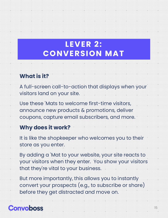### **LEVER 2: CONVERSION MAT**

#### **What is it?**

A full-screen call-to-action that displays when your visitors land on your site.

Use these 'Mats to welcome first-time visitors, announce new products & promotions, deliver coupons, capture email subscribers, and more.

#### **Why does it work?**

It is like the shopkeeper who welcomes you to their store as you enter.

By adding a 'Mat to your website, your site reacts to your visitors when they enter. You show your visitors that they're vital to your business.

But more importantly, this allows you to instantly convert your prospects (e.g., to subscribe or share) before they get distracted and move on.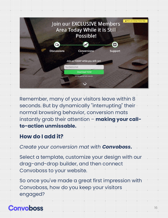

Remember, many of your visitors leave within 8 seconds. But by dynamically "interrupting" their normal browsing behavior, conversion mats instantly grab their attention – **making your callto-action unmissable.**

#### **How do I add it?**

#### *Create your conversion mat with Convoboss.*

Select a template, customize your design with our drag-and-drop builder, and then connect Convoboss to your website.

So once you've made a great first impression with Convoboss, how do you keep your visitors engaged?

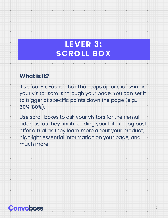### **LEVER 3: SCROLL BOX**

#### **What is it?**

It's a call-to-action box that pops up or slides-in as your visitor scrolls through your page. You can set it to trigger at specific points down the page (e.g., 50%, 80%).

Use scroll boxes to ask your visitors for their email address: as they finish reading your latest blog post, offer a trial as they learn more about your product, highlight essential information on your page, and much more.

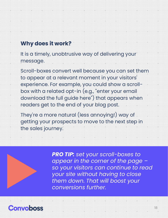#### **Why does it work?**

It is a timely, unobtrusive way of delivering your message.

Scroll-boxes convert well because you can set them to appear at a relevant moment in your visitors' experience. For example, you could show a scrollbox with a related opt-in (e.g., "enter your email download the full guide here") that appears when readers get to the end of your blog post.

They're a more natural (less annoying!) way of getting your prospects to move to the next step in the sales journey.



*PRO TIP: set your scroll-boxes to appear in the corner of the page – so your visitors can continue to read your site without having to close them down. That will boost your conversions further.*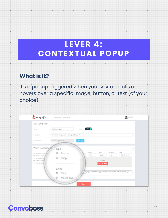### **LEVER 4: CONTEXTUAL POPUP**

#### **What is it?**

It's a popup triggered when your visitor clicks or hovers over a specific image, button, or text (of your choice).

| Edit Campaign                                                                                                                                       |                                                                         |                                              |                                                                                                                                                         | $\mathcal{H}_{\mathcal{C}}$ |
|-----------------------------------------------------------------------------------------------------------------------------------------------------|-------------------------------------------------------------------------|----------------------------------------------|---------------------------------------------------------------------------------------------------------------------------------------------------------|-----------------------------|
| Name                                                                                                                                                | Facebook Popup                                                          | ON O<br><b>Status</b>                        |                                                                                                                                                         |                             |
| Description                                                                                                                                         | Shows only to new visitors coming via Facebook                          |                                              |                                                                                                                                                         |                             |
| Domain name                                                                                                                                         | www.engagifire.com                                                      | O change                                     |                                                                                                                                                         |                             |
| When to display the<br>@ Atter a number off<br>On exit-intent<br>$\circ$<br>On page close<br>$\circ$<br>When scrolling<br>o<br>Manual (On Glo)<br>٠ | Type<br>Button<br>◉<br>Image<br>Event<br>Click<br>$\circ$<br>Mouse Over | Color:<br>Red<br>×<br>٠<br>division.<br>Save | Shadow:<br>Style:<br>Defai. .<br>No<br>٠<br>Preview<br>Click Me Now!<br>agampaign_id="122" data-trigger="click' class="efbtn-efbtn-default_efbtn-danger | v<br>Text:<br>Click Me Now! |

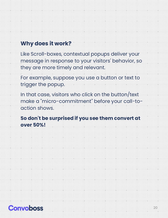#### **Why does it work?**

Like Scroll-boxes, contextual popups deliver your message in response to your visitors' behavior, so they are more timely and relevant.

For example, suppose you use a button or text to trigger the popup.

In that case, visitors who click on the button/text make a "micro-commitment" before your call-toaction shows.

**So don't be surprised if you see them convert at over 50%!**

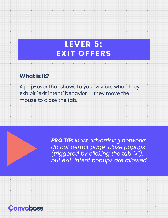### **LEVER 5: EXIT OFFERS**

#### **What is it?**

A pop-over that shows to your visitors when they exhibit "exit intent" behavior — they move their mouse to close the tab.

> *PRO TIP: Most advertising networks do not permit page-close popups (triggered by clicking the tab "X"), but exit-intent popups are allowed.*

> > $\ddot{\phantom{0}}$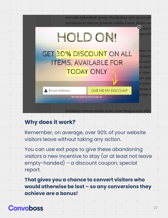

#### **Why does it work?**

Remember, on average, over 90% of your website visitors leave without taking any action.

You can use exit pops to give these abandoning visitors a new incentive to stay (or at least not leave empty-handed) – a discount coupon, special report.

**That gives you a chance to convert visitors who would otherwise be lost – so any conversions they achieve are a bonus!**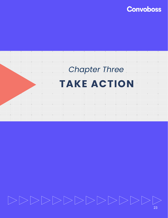



## $|>$

23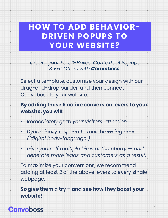### **HOW TO ADD BEHAVIOR-DRIVEN POPUPS TO YOUR WEBSITE?**

#### *Create your Scroll-Boxes, Contextual Popups & Exit Offers with Convoboss.*

Select a template, customize your design with our drag-and-drop builder, and then connect Convoboss to your website.

#### **By adding these 5 active conversion levers to your website, you will:**

- *Immediately grab your visitors' attention.*
- *Dynamically respond to their browsing cues ("digital body-language").*
- *Give yourself multiple bites at the cherry — and generate more leads and customers as a result.*

To maximize your conversions, we recommend adding at least 2 of the above levers to every single webpage.

**So give them a try – and see how they boost your website!**